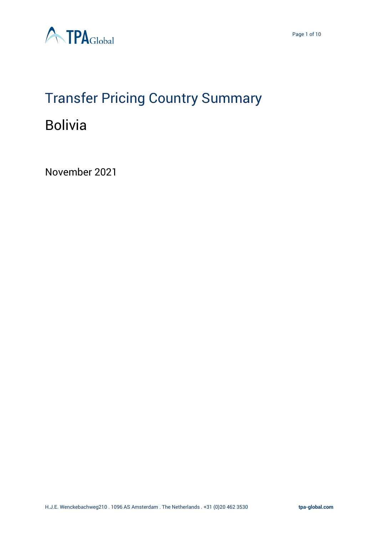



# Transfer Pricing Country Summary

### Bolivia

November 2021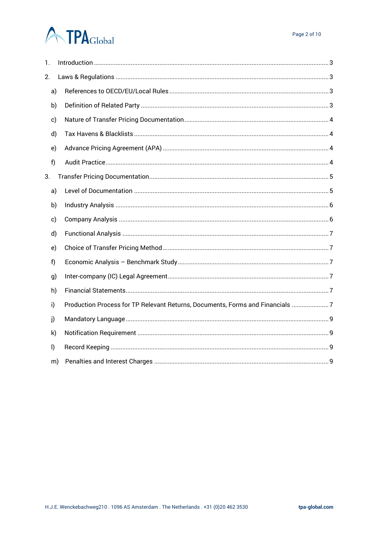## **ATPA**Global

| 1.      |                                                                               |  |  |  |  |  |
|---------|-------------------------------------------------------------------------------|--|--|--|--|--|
| 2.      |                                                                               |  |  |  |  |  |
| a)      |                                                                               |  |  |  |  |  |
| b)      |                                                                               |  |  |  |  |  |
| c)      |                                                                               |  |  |  |  |  |
| d)      |                                                                               |  |  |  |  |  |
| e)      |                                                                               |  |  |  |  |  |
| f)      |                                                                               |  |  |  |  |  |
| 3.      |                                                                               |  |  |  |  |  |
| a)      |                                                                               |  |  |  |  |  |
| b)      |                                                                               |  |  |  |  |  |
| c)      |                                                                               |  |  |  |  |  |
| d)      |                                                                               |  |  |  |  |  |
| e)      |                                                                               |  |  |  |  |  |
| f)      |                                                                               |  |  |  |  |  |
| g)      |                                                                               |  |  |  |  |  |
|         | h)                                                                            |  |  |  |  |  |
| i)      | Production Process for TP Relevant Returns, Documents, Forms and Financials 7 |  |  |  |  |  |
| j)      |                                                                               |  |  |  |  |  |
| k)      |                                                                               |  |  |  |  |  |
| $\vert$ |                                                                               |  |  |  |  |  |
|         | m)                                                                            |  |  |  |  |  |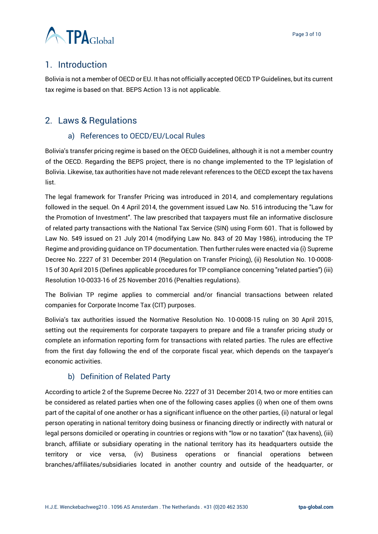

#### <span id="page-2-0"></span>1. Introduction

Bolivia is not a member of OECD or EU. It has not officially accepted OECD TP Guidelines, but its current tax regime is based on that. BEPS Action 13 is not applicable.

#### <span id="page-2-2"></span><span id="page-2-1"></span>2. Laws & Regulations

#### a) References to OECD/EU/Local Rules

Bolivia's transfer pricing regime is based on the OECD Guidelines, although it is not a member country of the OECD. Regarding the BEPS project, there is no change implemented to the TP legislation of Bolivia. Likewise, tax authorities have not made relevant references to the OECD except the tax havens list.

The legal framework for Transfer Pricing was introduced in 2014, and complementary regulations followed in the sequel. On 4 April 2014, the government issued Law No. 516 introducing the "Law for the Promotion of Investment". The law prescribed that taxpayers must file an informative disclosure of related party transactions with the National Tax Service (SIN) using Form 601. That is followed by Law No. 549 issued on 21 July 2014 (modifying Law No. 843 of 20 May 1986), introducing the TP Regime and providing guidance on TP documentation. Then further rules were enacted via (i) Supreme Decree No. 2227 of 31 December 2014 (Regulation on Transfer Pricing), (ii) Resolution No. 10-0008- 15 of 30 April 2015 (Defines applicable procedures for TP compliance concerning "related parties") (iii) Resolution 10-0033-16 of 25 November 2016 (Penalties regulations).

The Bolivian TP regime applies to commercial and/or financial transactions between related companies for Corporate Income Tax (CIT) purposes.

Bolivia's tax authorities issued the Normative Resolution No. 10-0008-15 ruling on 30 April 2015, setting out the requirements for corporate taxpayers to prepare and file a transfer pricing study or complete an information reporting form for transactions with related parties. The rules are effective from the first day following the end of the corporate fiscal year, which depends on the taxpayer's economic activities.

#### b) Definition of Related Party

<span id="page-2-3"></span>According to article 2 of the Supreme Decree No. 2227 of 31 December 2014, two or more entities can be considered as related parties when one of the following cases applies (i) when one of them owns part of the capital of one another or has a significant influence on the other parties, (ii) natural or legal person operating in national territory doing business or financing directly or indirectly with natural or legal persons domiciled or operating in countries or regions with "low or no taxation" (tax havens), (iii) branch, affiliate or subsidiary operating in the national territory has its headquarters outside the territory or vice versa, (iv) Business operations or financial operations between branches/affiliates/subsidiaries located in another country and outside of the headquarter, or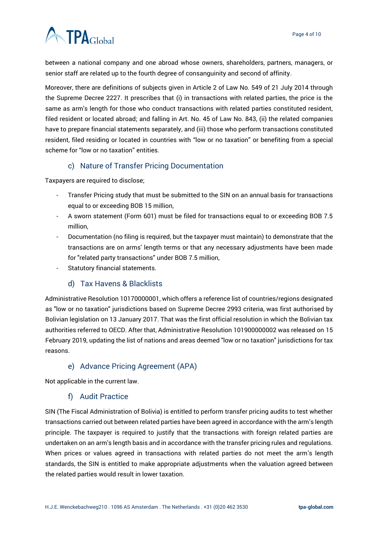

between a national company and one abroad whose owners, shareholders, partners, managers, or senior staff are related up to the fourth degree of consanguinity and second of affinity.

Moreover, there are definitions of subjects given in Article 2 of Law No. 549 of 21 July 2014 through the Supreme Decree 2227. It prescribes that (i) in transactions with related parties, the price is the same as arm's length for those who conduct transactions with related parties constituted resident, filed resident or located abroad; and falling in Art. No. 45 of Law No. 843, (ii) the related companies have to prepare financial statements separately, and (iii) those who perform transactions constituted resident, filed residing or located in countries with "low or no taxation" or benefiting from a special scheme for "low or no taxation" entities.

#### c) Nature of Transfer Pricing Documentation

<span id="page-3-0"></span>Taxpayers are required to disclose;

- Transfer Pricing study that must be submitted to the SIN on an annual basis for transactions equal to or exceeding BOB 15 million,
- A sworn statement (Form 601) must be filed for transactions equal to or exceeding BOB 7.5 million,
- Documentation (no filing is required, but the taxpayer must maintain) to demonstrate that the transactions are on arms' length terms or that any necessary adjustments have been made for "related party transactions" under BOB 7.5 million,
- Statutory financial statements.

#### d) Tax Havens & Blacklists

<span id="page-3-1"></span>Administrative Resolution 10170000001, which offers a reference list of countries/regions designated as "low or no taxation" jurisdictions based on Supreme Decree 2993 criteria, was first authorised by Bolivian legislation on 13 January 2017. That was the first official resolution in which the Bolivian tax authorities referred to OECD. After that, Administrative Resolution 101900000002 was released on 15 February 2019, updating the list of nations and areas deemed "low or no taxation" jurisdictions for tax reasons.

#### e) Advance Pricing Agreement (APA)

<span id="page-3-3"></span><span id="page-3-2"></span>Not applicable in the current law.

#### f) Audit Practice

SIN (The Fiscal Administration of Bolivia) is entitled to perform transfer pricing audits to test whether transactions carried out between related parties have been agreed in accordance with the arm's length principle. The taxpayer is required to justify that the transactions with foreign related parties are undertaken on an arm's length basis and in accordance with the transfer pricing rules and regulations. When prices or values agreed in transactions with related parties do not meet the arm's length standards, the SIN is entitled to make appropriate adjustments when the valuation agreed between the related parties would result in lower taxation.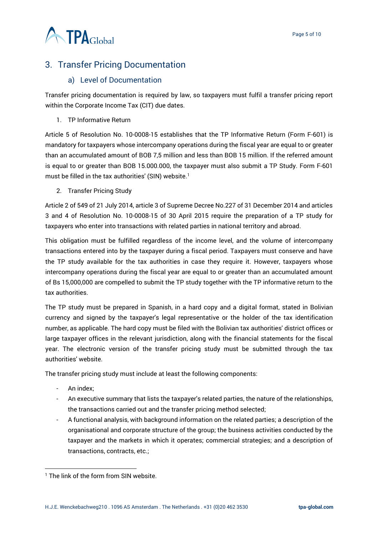

#### <span id="page-4-0"></span>3. Transfer Pricing Documentation

#### a) Level of Documentation

<span id="page-4-1"></span>Transfer pricing documentation is required by law, so taxpayers must fulfil a transfer pricing report within the Corporate Income Tax (CIT) due dates.

1. TP Informative Return

Article 5 of Resolution No. 10-0008-15 establishes that the TP Informative Return (Form F-601) is mandatory for taxpayers whose intercompany operations during the fiscal year are equal to or greater than an accumulated amount of BOB 7,5 million and less than BOB 15 million. If the referred amount is equal to or greater than BOB 15.000.000, the taxpayer must also submit a TP Study. Form F-601 must be filled in the tax authorities' (SIN) website.<sup>1</sup>

2. Transfer Pricing Study

Article 2 of 549 of 21 July 2014, article 3 of Supreme Decree No.227 of 31 December 2014 and articles 3 and 4 of Resolution No. 10-0008-15 of 30 April 2015 require the preparation of a TP study for taxpayers who enter into transactions with related parties in national territory and abroad.

This obligation must be fulfilled regardless of the income level, and the volume of intercompany transactions entered into by the taxpayer during a fiscal period. Taxpayers must conserve and have the TP study available for the tax authorities in case they require it. However, taxpayers whose intercompany operations during the fiscal year are equal to or greater than an accumulated amount of Bs 15,000,000 are compelled to submit the TP study together with the TP informative return to the tax authorities.

The TP study must be prepared in Spanish, in a hard copy and a digital format, stated in Bolivian currency and signed by the taxpayer's legal representative or the holder of the tax identification number, as applicable. The hard copy must be filed with the Bolivian tax authorities' district offices or large taxpayer offices in the relevant jurisdiction, along with the financial statements for the fiscal year. The electronic version of the transfer pricing study must be submitted through the tax authorities' website.

The transfer pricing study must include at least the following components:

- An index;
- An executive summary that lists the taxpayer's related parties, the nature of the relationships, the transactions carried out and the transfer pricing method selected;
- A functional analysis, with background information on the related parties; a description of the organisational and corporate structure of the group; the business activities conducted by the taxpayer and the markets in which it operates; commercial strategies; and a description of transactions, contracts, etc.;

<sup>&</sup>lt;sup>1</sup> The link of the form from SIN website.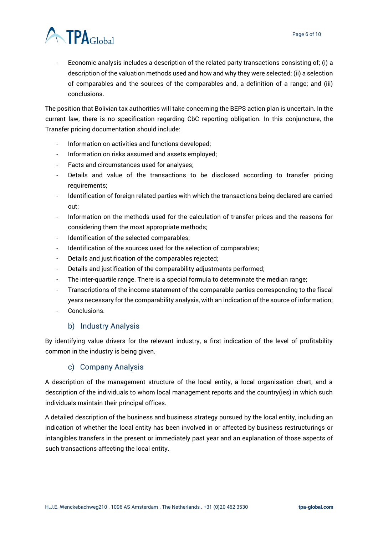

- Economic analysis includes a description of the related party transactions consisting of; (i) a description of the valuation methods used and how and why they were selected; (ii) a selection of comparables and the sources of the comparables and, a definition of a range; and (iii) conclusions.

The position that Bolivian tax authorities will take concerning the BEPS action plan is uncertain. In the current law, there is no specification regarding CbC reporting obligation. In this conjuncture, the Transfer pricing documentation should include:

- Information on activities and functions developed;
- Information on risks assumed and assets employed;
- Facts and circumstances used for analyses;
- Details and value of the transactions to be disclosed according to transfer pricing requirements;
- Identification of foreign related parties with which the transactions being declared are carried out;
- Information on the methods used for the calculation of transfer prices and the reasons for considering them the most appropriate methods;
- Identification of the selected comparables;
- Identification of the sources used for the selection of comparables;
- Details and justification of the comparables rejected;
- Details and justification of the comparability adjustments performed;
- The inter-quartile range. There is a special formula to determinate the median range;
- Transcriptions of the income statement of the comparable parties corresponding to the fiscal years necessary for the comparability analysis, with an indication of the source of information;
- Conclusions.

#### b) Industry Analysis

<span id="page-5-0"></span>By identifying value drivers for the relevant industry, a first indication of the level of profitability common in the industry is being given.

#### c) Company Analysis

<span id="page-5-1"></span>A description of the management structure of the local entity, a local organisation chart, and a description of the individuals to whom local management reports and the country(ies) in which such individuals maintain their principal offices.

A detailed description of the business and business strategy pursued by the local entity, including an indication of whether the local entity has been involved in or affected by business restructurings or intangibles transfers in the present or immediately past year and an explanation of those aspects of such transactions affecting the local entity.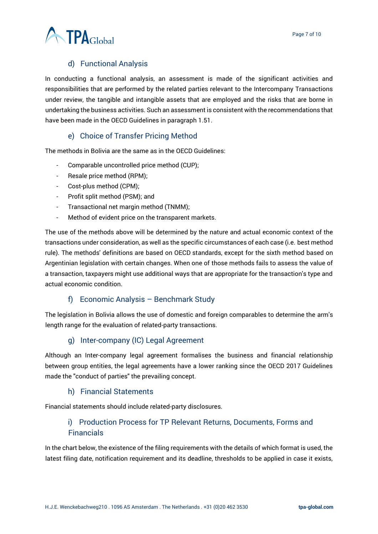

#### d) Functional Analysis

<span id="page-6-0"></span>In conducting a functional analysis, an assessment is made of the significant activities and responsibilities that are performed by the related parties relevant to the Intercompany Transactions under review, the tangible and intangible assets that are employed and the risks that are borne in undertaking the business activities. Such an assessment is consistent with the recommendations that have been made in the OECD Guidelines in paragraph 1.51.

#### e) Choice of Transfer Pricing Method

<span id="page-6-1"></span>The methods in Bolivia are the same as in the OECD Guidelines:

- Comparable uncontrolled price method (CUP);
- Resale price method (RPM);
- Cost-plus method (CPM);
- Profit split method (PSM); and
- Transactional net margin method (TNMM);
- Method of evident price on the transparent markets.

The use of the methods above will be determined by the nature and actual economic context of the transactions under consideration, as well as the specific circumstances of each case (i.e. best method rule). The methods' definitions are based on OECD standards, except for the sixth method based on Argentinian legislation with certain changes. When one of those methods fails to assess the value of a transaction, taxpayers might use additional ways that are appropriate for the transaction's type and actual economic condition.

#### f) Economic Analysis – Benchmark Study

<span id="page-6-2"></span>The legislation in Bolivia allows the use of domestic and foreign comparables to determine the arm's length range for the evaluation of related-party transactions.

#### g) Inter-company (IC) Legal Agreement

<span id="page-6-3"></span>Although an Inter-company legal agreement formalises the business and financial relationship between group entities, the legal agreements have a lower ranking since the OECD 2017 Guidelines made the "conduct of parties" the prevailing concept.

#### h) Financial Statements

<span id="page-6-5"></span><span id="page-6-4"></span>Financial statements should include related-party disclosures.

#### i) Production Process for TP Relevant Returns, Documents, Forms and **Financials**

In the chart below, the existence of the filing requirements with the details of which format is used, the latest filing date, notification requirement and its deadline, thresholds to be applied in case it exists,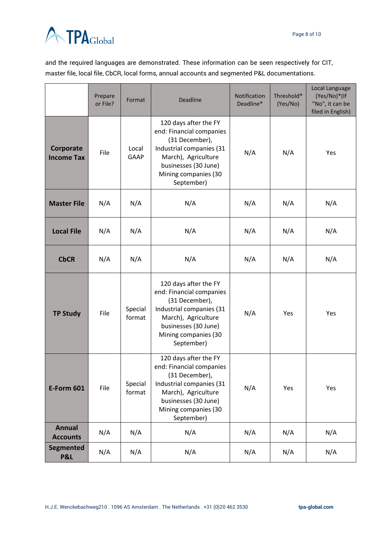

and the required languages are demonstrated. These information can be seen respectively for CIT, master file, local file, CbCR, local forms, annual accounts and segmented P&L documentations.

|                                  | Prepare<br>or File? | Format               | <b>Deadline</b>                                                                                                                                                                      | Notification<br>Deadline* | Threshold*<br>(Yes/No) | Local Language<br>(Yes/No)*(If<br>"No", it can be<br>filed in English) |
|----------------------------------|---------------------|----------------------|--------------------------------------------------------------------------------------------------------------------------------------------------------------------------------------|---------------------------|------------------------|------------------------------------------------------------------------|
| Corporate<br><b>Income Tax</b>   | File                | Local<br><b>GAAP</b> | 120 days after the FY<br>end: Financial companies<br>(31 December),<br>Industrial companies (31<br>March), Agriculture<br>businesses (30 June)<br>Mining companies (30<br>September) | N/A                       | N/A                    | Yes                                                                    |
| <b>Master File</b>               | N/A                 | N/A                  | N/A                                                                                                                                                                                  | N/A                       | N/A                    | N/A                                                                    |
| <b>Local File</b>                | N/A                 | N/A                  | N/A                                                                                                                                                                                  | N/A                       | N/A                    | N/A                                                                    |
| <b>CbCR</b>                      | N/A                 | N/A                  | N/A                                                                                                                                                                                  | N/A                       | N/A                    | N/A                                                                    |
| <b>TP Study</b>                  | File                | Special<br>format    | 120 days after the FY<br>end: Financial companies<br>(31 December),<br>Industrial companies (31<br>March), Agriculture<br>businesses (30 June)<br>Mining companies (30<br>September) | N/A                       | Yes                    | Yes                                                                    |
| <b>E-Form 601</b>                | File                | Special<br>format    | 120 days after the FY<br>end: Financial companies<br>(31 December),<br>Industrial companies (31<br>March), Agriculture<br>businesses (30 June)<br>Mining companies (30<br>September) | N/A                       | Yes                    | Yes                                                                    |
| <b>Annual</b><br><b>Accounts</b> | N/A                 | N/A                  | N/A                                                                                                                                                                                  | N/A                       | N/A                    | N/A                                                                    |
| Segmented<br>P&L                 | N/A                 | N/A                  | N/A                                                                                                                                                                                  | N/A                       | N/A                    | N/A                                                                    |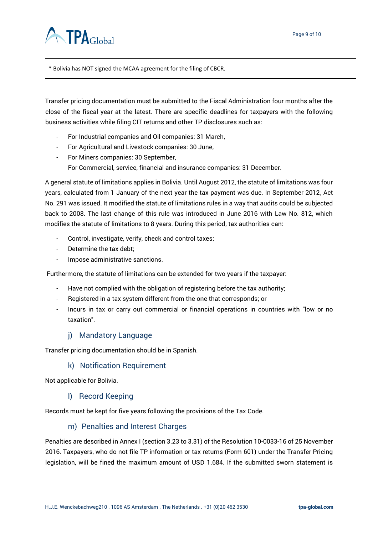

\* Bolivia has NOT signed the MCAA agreement for the filing of CBCR.

Transfer pricing documentation must be submitted to the Fiscal Administration four months after the close of the fiscal year at the latest. There are specific deadlines for taxpayers with the following business activities while filing CIT returns and other TP disclosures such as:

- For Industrial companies and Oil companies: 31 March,
- For Agricultural and Livestock companies: 30 June,
- For Miners companies: 30 September, For Commercial, service, financial and insurance companies: 31 December.

A general statute of limitations applies in Bolivia. Until August 2012, the statute of limitations was four years, calculated from 1 January of the next year the tax payment was due. In September 2012, Act No. 291 was issued. It modified the statute of limitations rules in a way that audits could be subjected back to 2008. The last change of this rule was introduced in June 2016 with Law No. 812, which modifies the statute of limitations to 8 years. During this period, tax authorities can:

- Control, investigate, verify, check and control taxes;
- Determine the tax debt;
- Impose administrative sanctions.

Furthermore, the statute of limitations can be extended for two years if the taxpayer:

- Have not complied with the obligation of registering before the tax authority;
- Registered in a tax system different from the one that corresponds; or
- Incurs in tax or carry out commercial or financial operations in countries with "low or no taxation".

#### j) Mandatory Language

<span id="page-8-1"></span><span id="page-8-0"></span>Transfer pricing documentation should be in Spanish.

#### k) Notification Requirement

<span id="page-8-2"></span>Not applicable for Bolivia.

#### l) Record Keeping

<span id="page-8-3"></span>Records must be kept for five years following the provisions of the Tax Code.

#### m) Penalties and Interest Charges

Penalties are described in Annex I (section 3.23 to 3.31) of the Resolution 10-0033-16 of 25 November 2016. Taxpayers, who do not file TP information or tax returns (Form 601) under the Transfer Pricing legislation, will be fined the maximum amount of USD 1.684. If the submitted sworn statement is